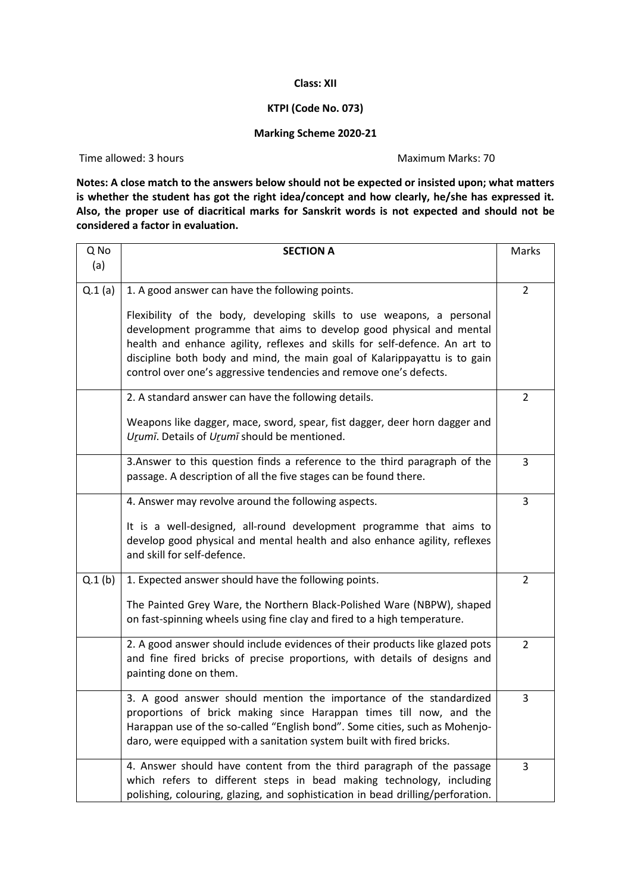## **Class: XII**

## **KTPI (Code No. 073)**

## **Marking Scheme 2020-21**

Time allowed: 3 hours and the Maximum Marks: 70

**Notes: A close match to the answers below should not be expected or insisted upon; what matters is whether the student has got the right idea/concept and how clearly, he/she has expressed it. Also, the proper use of diacritical marks for Sanskrit words is not expected and should not be considered a factor in evaluation.** 

| Q No   | <b>SECTION A</b>                                                                                                                                                                                                                                                                                                                                                               | Marks          |
|--------|--------------------------------------------------------------------------------------------------------------------------------------------------------------------------------------------------------------------------------------------------------------------------------------------------------------------------------------------------------------------------------|----------------|
| (a)    |                                                                                                                                                                                                                                                                                                                                                                                |                |
| Q.1(a) | 1. A good answer can have the following points.                                                                                                                                                                                                                                                                                                                                | $\overline{2}$ |
|        | Flexibility of the body, developing skills to use weapons, a personal<br>development programme that aims to develop good physical and mental<br>health and enhance agility, reflexes and skills for self-defence. An art to<br>discipline both body and mind, the main goal of Kalarippayattu is to gain<br>control over one's aggressive tendencies and remove one's defects. |                |
|        | 2. A standard answer can have the following details.                                                                                                                                                                                                                                                                                                                           | 2              |
|        | Weapons like dagger, mace, sword, spear, fist dagger, deer horn dagger and<br>Urumī. Details of Urumī should be mentioned.                                                                                                                                                                                                                                                     |                |
|        | 3. Answer to this question finds a reference to the third paragraph of the<br>passage. A description of all the five stages can be found there.                                                                                                                                                                                                                                | 3              |
|        | 4. Answer may revolve around the following aspects.                                                                                                                                                                                                                                                                                                                            | 3              |
|        | It is a well-designed, all-round development programme that aims to<br>develop good physical and mental health and also enhance agility, reflexes<br>and skill for self-defence.                                                                                                                                                                                               |                |
| Q.1(b) | 1. Expected answer should have the following points.                                                                                                                                                                                                                                                                                                                           | 2              |
|        | The Painted Grey Ware, the Northern Black-Polished Ware (NBPW), shaped<br>on fast-spinning wheels using fine clay and fired to a high temperature.                                                                                                                                                                                                                             |                |
|        | 2. A good answer should include evidences of their products like glazed pots<br>and fine fired bricks of precise proportions, with details of designs and<br>painting done on them.                                                                                                                                                                                            | 2              |
|        | 3. A good answer should mention the importance of the standardized<br>proportions of brick making since Harappan times till now, and the<br>Harappan use of the so-called "English bond". Some cities, such as Mohenjo-<br>daro, were equipped with a sanitation system built with fired bricks.                                                                               | 3              |
|        | 4. Answer should have content from the third paragraph of the passage<br>which refers to different steps in bead making technology, including<br>polishing, colouring, glazing, and sophistication in bead drilling/perforation.                                                                                                                                               | 3              |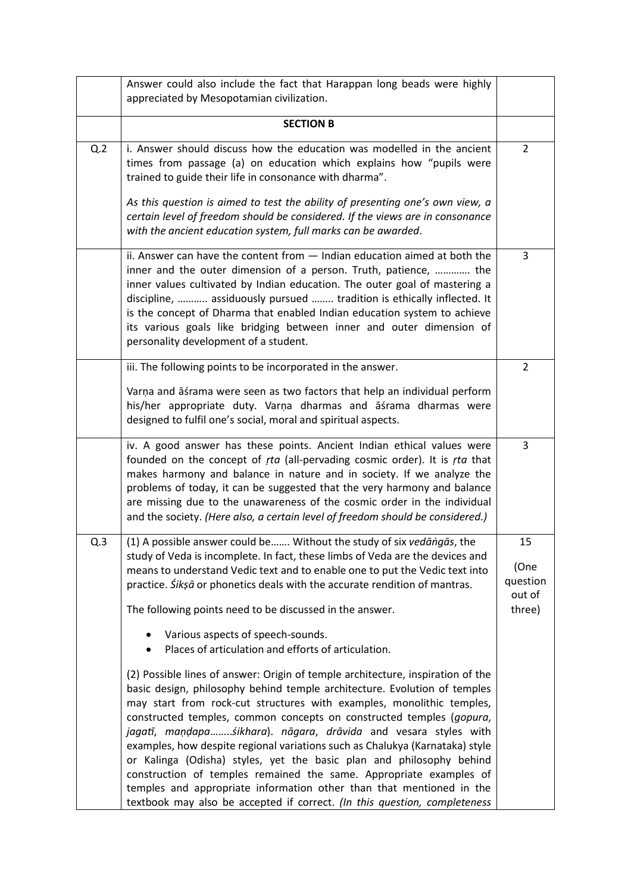|     | Answer could also include the fact that Harappan long beads were highly<br>appreciated by Mesopotamian civilization.                                                                                                                                                                                                                                                                                                                                                                                                                                                                                                                                                                                                                                                 |                                            |
|-----|----------------------------------------------------------------------------------------------------------------------------------------------------------------------------------------------------------------------------------------------------------------------------------------------------------------------------------------------------------------------------------------------------------------------------------------------------------------------------------------------------------------------------------------------------------------------------------------------------------------------------------------------------------------------------------------------------------------------------------------------------------------------|--------------------------------------------|
|     | <b>SECTION B</b>                                                                                                                                                                                                                                                                                                                                                                                                                                                                                                                                                                                                                                                                                                                                                     |                                            |
| Q.2 | i. Answer should discuss how the education was modelled in the ancient<br>times from passage (a) on education which explains how "pupils were<br>trained to guide their life in consonance with dharma".<br>As this question is aimed to test the ability of presenting one's own view, a<br>certain level of freedom should be considered. If the views are in consonance<br>with the ancient education system, full marks can be awarded.                                                                                                                                                                                                                                                                                                                          | 2                                          |
|     | ii. Answer can have the content from $-$ Indian education aimed at both the<br>inner and the outer dimension of a person. Truth, patience,  the<br>inner values cultivated by Indian education. The outer goal of mastering a<br>discipline,  assiduously pursued  tradition is ethically inflected. It<br>is the concept of Dharma that enabled Indian education system to achieve<br>its various goals like bridging between inner and outer dimension of<br>personality development of a student.                                                                                                                                                                                                                                                                 | 3                                          |
|     | iii. The following points to be incorporated in the answer.                                                                                                                                                                                                                                                                                                                                                                                                                                                                                                                                                                                                                                                                                                          | 2                                          |
|     | Varņa and āśrama were seen as two factors that help an individual perform<br>his/her appropriate duty. Varņa dharmas and āśrama dharmas were<br>designed to fulfil one's social, moral and spiritual aspects.                                                                                                                                                                                                                                                                                                                                                                                                                                                                                                                                                        |                                            |
|     | iv. A good answer has these points. Ancient Indian ethical values were<br>founded on the concept of rta (all-pervading cosmic order). It is rta that<br>makes harmony and balance in nature and in society. If we analyze the<br>problems of today, it can be suggested that the very harmony and balance<br>are missing due to the unawareness of the cosmic order in the individual<br>and the society. (Here also, a certain level of freedom should be considered.)                                                                                                                                                                                                                                                                                              | 3                                          |
| Q.3 | (1) A possible answer could be Without the study of six vedangas, the<br>study of Veda is incomplete. In fact, these limbs of Veda are the devices and<br>means to understand Vedic text and to enable one to put the Vedic text into<br>practice. Sikșã or phonetics deals with the accurate rendition of mantras.<br>The following points need to be discussed in the answer.<br>Various aspects of speech-sounds.<br>Places of articulation and efforts of articulation.                                                                                                                                                                                                                                                                                          | 15<br>(One<br>question<br>out of<br>three) |
|     | (2) Possible lines of answer: Origin of temple architecture, inspiration of the<br>basic design, philosophy behind temple architecture. Evolution of temples<br>may start from rock-cut structures with examples, monolithic temples,<br>constructed temples, common concepts on constructed temples (gopura,<br>jagatī, maņdapa sikhara). nāgara, drāvida and vesara styles with<br>examples, how despite regional variations such as Chalukya (Karnataka) style<br>or Kalinga (Odisha) styles, yet the basic plan and philosophy behind<br>construction of temples remained the same. Appropriate examples of<br>temples and appropriate information other than that mentioned in the<br>textbook may also be accepted if correct. (In this question, completeness |                                            |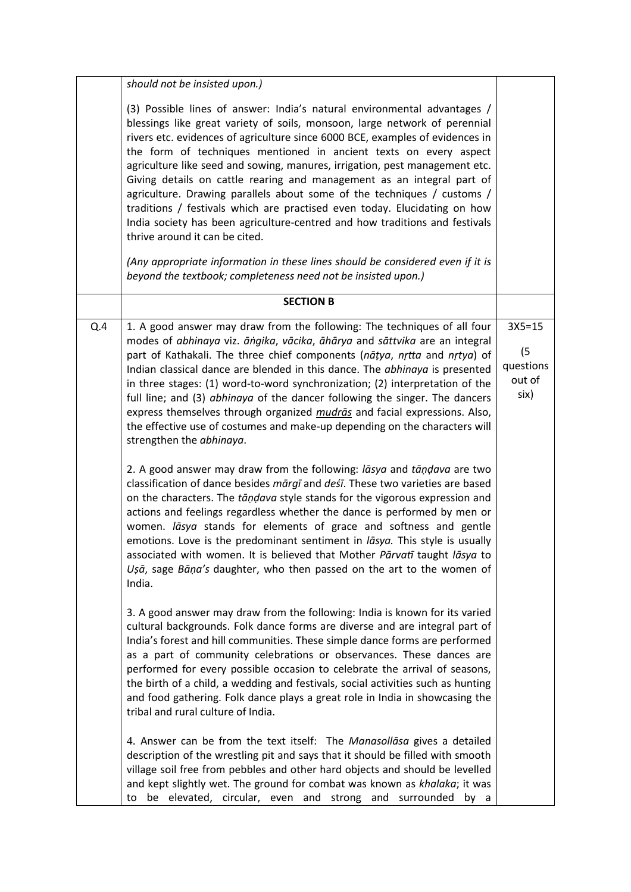|     | should not be insisted upon.)                                                                                                                                                                                                                                                                                                                                                                                                                                                                                                                                                                                                                                                                                                                                                                                                    |                                                  |
|-----|----------------------------------------------------------------------------------------------------------------------------------------------------------------------------------------------------------------------------------------------------------------------------------------------------------------------------------------------------------------------------------------------------------------------------------------------------------------------------------------------------------------------------------------------------------------------------------------------------------------------------------------------------------------------------------------------------------------------------------------------------------------------------------------------------------------------------------|--------------------------------------------------|
|     | (3) Possible lines of answer: India's natural environmental advantages /<br>blessings like great variety of soils, monsoon, large network of perennial<br>rivers etc. evidences of agriculture since 6000 BCE, examples of evidences in<br>the form of techniques mentioned in ancient texts on every aspect<br>agriculture like seed and sowing, manures, irrigation, pest management etc.<br>Giving details on cattle rearing and management as an integral part of<br>agriculture. Drawing parallels about some of the techniques / customs /<br>traditions / festivals which are practised even today. Elucidating on how<br>India society has been agriculture-centred and how traditions and festivals<br>thrive around it can be cited.<br>(Any appropriate information in these lines should be considered even if it is |                                                  |
|     | beyond the textbook; completeness need not be insisted upon.)                                                                                                                                                                                                                                                                                                                                                                                                                                                                                                                                                                                                                                                                                                                                                                    |                                                  |
|     | <b>SECTION B</b>                                                                                                                                                                                                                                                                                                                                                                                                                                                                                                                                                                                                                                                                                                                                                                                                                 |                                                  |
| Q.4 | 1. A good answer may draw from the following: The techniques of all four<br>modes of abhinaya viz. āngika, vācika, āhārya and sāttvika are an integral<br>part of Kathakali. The three chief components (natya, nrtta and nrtya) of<br>Indian classical dance are blended in this dance. The abhinaya is presented<br>in three stages: (1) word-to-word synchronization; (2) interpretation of the<br>full line; and (3) abhinaya of the dancer following the singer. The dancers<br>express themselves through organized <i>mudrās</i> and facial expressions. Also,<br>the effective use of costumes and make-up depending on the characters will<br>strengthen the abhinaya.                                                                                                                                                  | $3X5 = 15$<br>(5)<br>questions<br>out of<br>six) |
|     | 2. A good answer may draw from the following: lasya and tandava are two<br>classification of dance besides mārgī and deśī. These two varieties are based<br>on the characters. The tāņdava style stands for the vigorous expression and<br>actions and feelings regardless whether the dance is performed by men or<br>women. lāsya stands for elements of grace and softness and gentle<br>emotions. Love is the predominant sentiment in lasya. This style is usually<br>associated with women. It is believed that Mother Pārvatī taught lāsya to<br>Ușā, sage Bāņa's daughter, who then passed on the art to the women of<br>India.                                                                                                                                                                                          |                                                  |
|     | 3. A good answer may draw from the following: India is known for its varied<br>cultural backgrounds. Folk dance forms are diverse and are integral part of<br>India's forest and hill communities. These simple dance forms are performed<br>as a part of community celebrations or observances. These dances are<br>performed for every possible occasion to celebrate the arrival of seasons,<br>the birth of a child, a wedding and festivals, social activities such as hunting<br>and food gathering. Folk dance plays a great role in India in showcasing the<br>tribal and rural culture of India.                                                                                                                                                                                                                        |                                                  |
|     | 4. Answer can be from the text itself: The Manasollasa gives a detailed<br>description of the wrestling pit and says that it should be filled with smooth<br>village soil free from pebbles and other hard objects and should be levelled<br>and kept slightly wet. The ground for combat was known as khalaka; it was<br>be elevated, circular, even and strong and surrounded<br>by a<br>to                                                                                                                                                                                                                                                                                                                                                                                                                                    |                                                  |